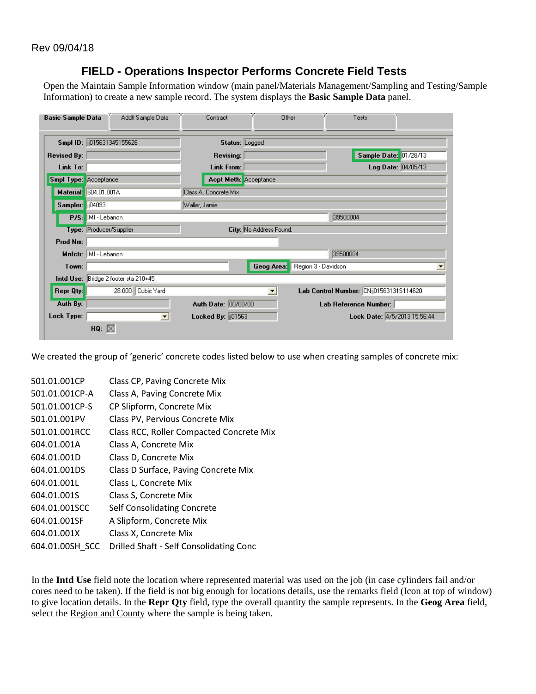## **FIELD - Operations Inspector Performs Concrete Field Tests**

Open the Maintain Sample Information window (main panel/Materials Management/Sampling and Testing/Sample Information) to create a new sample record. The system displays the **Basic Sample Data** panel.

| <b>Basic Sample Data</b>     | Addtl Sample Data                    | Contract                     | Other<br>Tests                          |
|------------------------------|--------------------------------------|------------------------------|-----------------------------------------|
|                              | Smpl ID: (015631345155626)           | Status: Logged               |                                         |
| <b>Revised By:</b>           |                                      | <b>Revising:</b>             | Sample Date: 01/28/13                   |
| Link To:                     |                                      | Link From:                   | <b>Log Date:</b> $04/05/13$             |
| <b>Smpl Type:</b> Acceptance |                                      | <b>Acpt Meth:</b> Acceptance |                                         |
|                              | Material: 604.01.001A                | Class A, Concrete Mix        |                                         |
| Sampler: 104093              |                                      | Waller, Jamie                |                                         |
|                              | P/S: IMI - Lebanon                   |                              | 39500004                                |
|                              | Type: Producer/Supplier              | City: No Address Found.      |                                         |
| Prod Nm:                     |                                      |                              |                                         |
|                              | Mnfetr: MI - Lebanon                 |                              | 39500004                                |
| Town:                        |                                      | Geog Area:                   | Region 3 - Davidson                     |
|                              | Intd Use: Bridge 2 footer sta 210+45 |                              |                                         |
| Repr Qty:                    | 28.000 Cubic Yard                    | $\blacksquare$               | Lab Control Number: CNij015631315114620 |
| Auth By:                     |                                      | Auth Date: 00/00/00          | Lab Reference Number:                   |
| Lock Type:                   | $\blacktriangledown$                 | Locked By: 01563             | Lock Date: 4/5/2013 15:56:44            |
|                              | HQ: $\boxtimes$                      |                              |                                         |

We created the group of 'generic' concrete codes listed below to use when creating samples of concrete mix:

| 501.01.001CP    | Class CP, Paving Concrete Mix            |
|-----------------|------------------------------------------|
| 501.01.001CP-A  | Class A, Paving Concrete Mix             |
| 501.01.001CP-S  | CP Slipform, Concrete Mix                |
| 501.01.001PV    | Class PV, Pervious Concrete Mix          |
| 501.01.001RCC   | Class RCC, Roller Compacted Concrete Mix |
| 604.01.001A     | Class A, Concrete Mix                    |
| 604.01.001D     | Class D. Concrete Mix                    |
| 604.01.001DS    | Class D Surface, Paving Concrete Mix     |
| 604.01.001L     | Class L, Concrete Mix                    |
| 604.01.001S     | Class S, Concrete Mix                    |
| 604.01.001SCC   | <b>Self Consolidating Concrete</b>       |
| 604.01.001SF    | A Slipform, Concrete Mix                 |
| 604.01.001X     | Class X, Concrete Mix                    |
| 604.01.00SH SCC | Drilled Shaft - Self Consolidating Conc  |

In the **Intd Use** field note the location where represented material was used on the job (in case cylinders fail and/or cores need to be taken). If the field is not big enough for locations details, use the remarks field (Icon at top of window) to give location details. In the **Repr Qty** field, type the overall quantity the sample represents. In the **Geog Area** field, select the Region and County where the sample is being taken.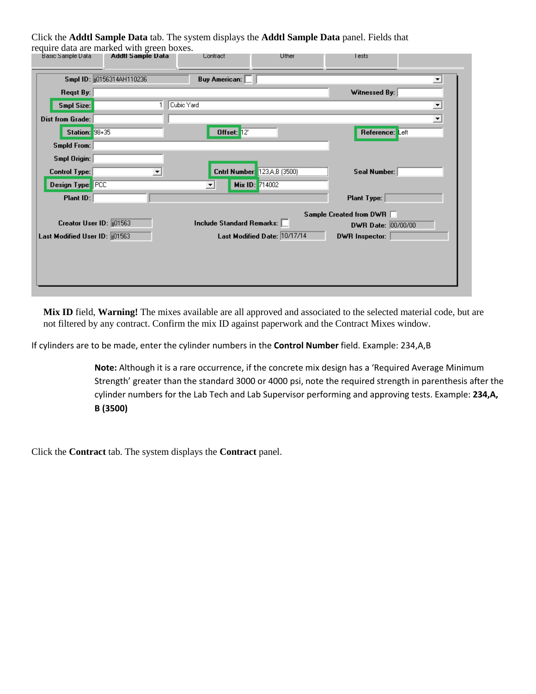Click the **Addtl Sample Data** tab. The system displays the **Addtl Sample Data** panel. Fields that require data are marked with green boxes.

| <b>Basic Sample Data</b>       | Addtl Sample Data         | <b>Contract</b>             | Uther                        | l ests                  |   |
|--------------------------------|---------------------------|-----------------------------|------------------------------|-------------------------|---|
|                                | Smpl ID: 00156314AH110236 | <b>Buy American:</b>        |                              |                         | ▾ |
| Regst By:                      |                           |                             |                              | Witnessed By:           |   |
| Smpl Size:                     |                           | Cubic Yard                  |                              |                         | ᅬ |
| <b>Dist from Grade:</b>        |                           |                             |                              |                         | ≖ |
| Station: 98+35                 |                           | Offset: 12'                 |                              | Reference: Left         |   |
| <b>Smpld From:</b>             |                           |                             |                              |                         |   |
| <b>Smpl Origin:</b>            |                           |                             |                              |                         |   |
| <b>Control Type:</b>           | ▼                         |                             | Cntrl Number: 123A,B (3500)  | Seal Number:            |   |
| Design Type: PCC               |                           | ≛                           | Mix ID: 714002               |                         |   |
| Plant ID:                      |                           |                             |                              | <b>Plant Type:</b>      |   |
|                                |                           |                             |                              | Sample Created from DWR |   |
| Creator User ID: 01563         |                           | Include Standard Remarks: [ |                              | DWR Date: 00/00/00      |   |
| Last Modified User ID: [01563] |                           |                             | Last Modified Date: 10/17/14 | DWR Inspector:          |   |
|                                |                           |                             |                              |                         |   |
|                                |                           |                             |                              |                         |   |
|                                |                           |                             |                              |                         |   |

**Mix ID** field, **Warning!** The mixes available are all approved and associated to the selected material code, but are not filtered by any contract. Confirm the mix ID against paperwork and the Contract Mixes window.

If cylinders are to be made, enter the cylinder numbers in the **Control Number** field. Example: 234,A,B

**Note:** Although it is a rare occurrence, if the concrete mix design has a 'Required Average Minimum Strength' greater than the standard 3000 or 4000 psi, note the required strength in parenthesis after the cylinder numbers for the Lab Tech and Lab Supervisor performing and approving tests. Example: **234,A, B (3500)**

Click the **Contract** tab. The system displays the **Contract** panel.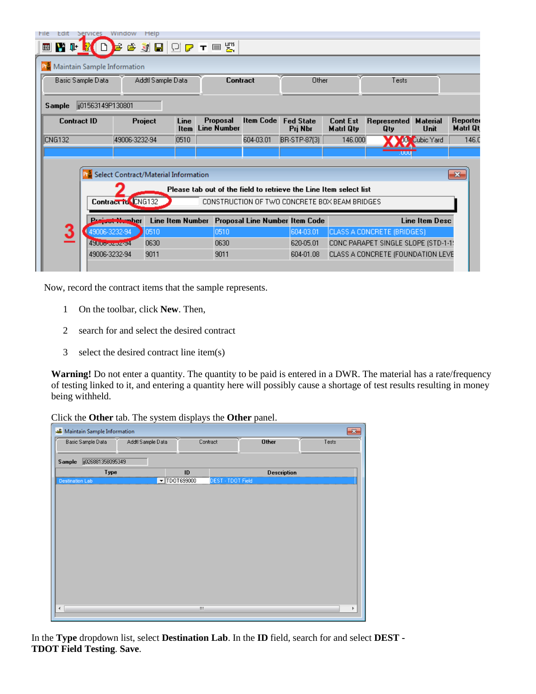| File<br>Edit                           | <b>Services</b>                             | Window<br>Help              |                     |                                |           |                                                                   |                              |                                     |                            |                      |
|----------------------------------------|---------------------------------------------|-----------------------------|---------------------|--------------------------------|-----------|-------------------------------------------------------------------|------------------------------|-------------------------------------|----------------------------|----------------------|
| VI D<br>圃                              |                                             | Е                           |                     | <b>@ 浏日 ① Q 〒 P 5 ℃</b>        |           |                                                                   |                              |                                     |                            |                      |
|                                        |                                             | Maintain Sample Information |                     |                                |           |                                                                   |                              |                                     |                            |                      |
| Basic Sample Data<br>Addtl Sample Data |                                             | Contract                    |                     | Other                          |           | Tests                                                             |                              |                                     |                            |                      |
| Sample                                 | lij01563149P130801                          |                             |                     |                                |           |                                                                   |                              |                                     |                            |                      |
| <b>Contract ID</b>                     |                                             | Project                     | Line<br><b>Item</b> | Proposal<br><b>Line Number</b> | Item Code | <b>Fed State</b><br>Pri Nbr                                       | <b>Cont Est</b><br>Matri Qty | Represented<br>Qty                  | <b>Material</b><br>Unit    | Reporter<br>Matri Qt |
| <b>CNG132</b>                          |                                             | 49006-3232-94               | 0510                |                                | 604-03.01 | BR-STP-87(3)                                                      | 146.000                      |                                     | 10 <sup>%</sup> Cubic Yard | 146.0                |
|                                        |                                             |                             |                     |                                |           |                                                                   |                              | .uuu                                |                            |                      |
|                                        | Select Contract/Material Information<br>-23 |                             |                     |                                |           |                                                                   |                              |                                     |                            |                      |
|                                        |                                             |                             |                     |                                |           | Please tab out of the field to retrieve the Line Item select list |                              |                                     |                            |                      |
|                                        |                                             | Contract to CNG132          |                     |                                |           | CONSTRUCTION OF TWO CONCRETE BOX BEAM BRIDGES                     |                              |                                     |                            |                      |
|                                        |                                             | <b>UNITERIAL DET</b>        |                     |                                |           | Line Item Number Proposal Line Number Item Code                   |                              |                                     | Line Item Desc             |                      |
| 3                                      | 49006-3232-94                               | 0510                        |                     | 0510                           |           | 604-03.01                                                         |                              | CLASS A CONCRETE (BRIDGES)          |                            |                      |
|                                        | 4900o-ozoz-34                               | 0630                        |                     | 0630                           |           | 620-05.01                                                         |                              | CONC PARAPET SINGLE SLOPE (STD-1-1) |                            |                      |
|                                        | 49006-3232-94                               | 9011                        |                     | 9011                           |           | 604-01.08                                                         |                              | CLASS A CONCRETE (FOUNDATION LEVE   |                            |                      |
|                                        |                                             |                             |                     |                                |           |                                                                   |                              |                                     |                            |                      |

Now, record the contract items that the sample represents.

- 1 On the toolbar, click **New**. Then,
- 2 search for and select the desired contract
- 3 select the desired contract line item(s)

**Warning!** Do not enter a quantity. The quantity to be paid is entered in a DWR. The material has a rate/frequency of testing linked to it, and entering a quantity here will possibly cause a shortage of test results resulting in money being withheld.

Click the **Other** tab. The system displays the **Other** panel.

| <b>Maintain Sample Information</b><br><b>AB</b><br>$\mathbf{x}$ |  |                                             |                          |                    |       |  |  |
|-----------------------------------------------------------------|--|---------------------------------------------|--------------------------|--------------------|-------|--|--|
| Basic Sample Data<br>Addtl Sample Data                          |  | Contract                                    |                          | <b>Other</b>       | Tests |  |  |
| jj026881358095349                                               |  |                                             |                          |                    |       |  |  |
| Sample                                                          |  |                                             |                          |                    |       |  |  |
| Type                                                            |  | ID                                          |                          | <b>Description</b> |       |  |  |
| <b>Destination Lab</b>                                          |  | $\textcolor{blue}{\blacksquare}$ TDOT699000 | <b>DEST - TDOT Field</b> |                    |       |  |  |
|                                                                 |  |                                             |                          |                    |       |  |  |
|                                                                 |  |                                             |                          |                    |       |  |  |
|                                                                 |  |                                             |                          |                    |       |  |  |
|                                                                 |  |                                             |                          |                    |       |  |  |
|                                                                 |  |                                             |                          |                    |       |  |  |
|                                                                 |  |                                             |                          |                    |       |  |  |
|                                                                 |  |                                             |                          |                    |       |  |  |
|                                                                 |  |                                             |                          |                    |       |  |  |
|                                                                 |  |                                             |                          |                    |       |  |  |
|                                                                 |  |                                             |                          |                    |       |  |  |
|                                                                 |  |                                             |                          |                    |       |  |  |
|                                                                 |  |                                             |                          |                    |       |  |  |
|                                                                 |  |                                             |                          |                    |       |  |  |
| $\overline{\phantom{a}}$                                        |  | Ш                                           |                          |                    | ۰     |  |  |
|                                                                 |  |                                             |                          |                    |       |  |  |

In the **Type** dropdown list, select **Destination Lab**. In the **ID** field, search for and select **DEST - TDOT Field Testing**. **Save**.